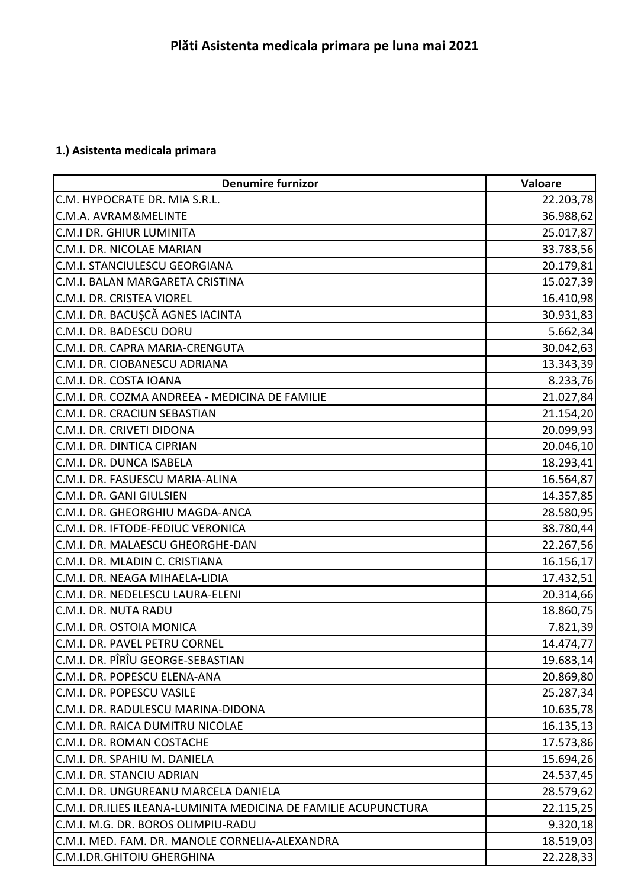## **1.) Asistenta medicala primara**

| <b>Denumire furnizor</b>                                        | Valoare   |
|-----------------------------------------------------------------|-----------|
| C.M. HYPOCRATE DR. MIA S.R.L.                                   | 22.203,78 |
| C.M.A. AVRAM&MELINTE                                            | 36.988,62 |
| C.M.I DR. GHIUR LUMINITA                                        | 25.017,87 |
| C.M.I. DR. NICOLAE MARIAN                                       | 33.783,56 |
| C.M.I. STANCIULESCU GEORGIANA                                   | 20.179,81 |
| C.M.I. BALAN MARGARETA CRISTINA                                 | 15.027,39 |
| C.M.I. DR. CRISTEA VIOREL                                       | 16.410,98 |
| C.M.I. DR. BACUŞCĂ AGNES IACINTA                                | 30.931,83 |
| C.M.I. DR. BADESCU DORU                                         | 5.662,34  |
| C.M.I. DR. CAPRA MARIA-CRENGUTA                                 | 30.042,63 |
| C.M.I. DR. CIOBANESCU ADRIANA                                   | 13.343,39 |
| C.M.I. DR. COSTA IOANA                                          | 8.233,76  |
| C.M.I. DR. COZMA ANDREEA - MEDICINA DE FAMILIE                  | 21.027,84 |
| C.M.I. DR. CRACIUN SEBASTIAN                                    | 21.154,20 |
| C.M.I. DR. CRIVETI DIDONA                                       | 20.099,93 |
| C.M.I. DR. DINTICA CIPRIAN                                      | 20.046,10 |
| C.M.I. DR. DUNCA ISABELA                                        | 18.293,41 |
| C.M.I. DR. FASUESCU MARIA-ALINA                                 | 16.564,87 |
| C.M.I. DR. GANI GIULSIEN                                        | 14.357,85 |
| C.M.I. DR. GHEORGHIU MAGDA-ANCA                                 | 28.580,95 |
| C.M.I. DR. IFTODE-FEDIUC VERONICA                               | 38.780,44 |
| C.M.I. DR. MALAESCU GHEORGHE-DAN                                | 22.267,56 |
| C.M.I. DR. MLADIN C. CRISTIANA                                  | 16.156,17 |
| C.M.I. DR. NEAGA MIHAELA-LIDIA                                  | 17.432,51 |
| C.M.I. DR. NEDELESCU LAURA-ELENI                                | 20.314,66 |
| C.M.I. DR. NUTA RADU                                            | 18.860,75 |
| C.M.I. DR. OSTOIA MONICA                                        | 7.821,39  |
| C.M.I. DR. PAVEL PETRU CORNEL                                   | 14.474,77 |
| C.M.I. DR. PÎRÎU GEORGE-SEBASTIAN                               | 19.683,14 |
| C.M.I. DR. POPESCU ELENA-ANA                                    | 20.869,80 |
| C.M.I. DR. POPESCU VASILE                                       | 25.287,34 |
| C.M.I. DR. RADULESCU MARINA-DIDONA                              | 10.635,78 |
| C.M.I. DR. RAICA DUMITRU NICOLAE                                | 16.135,13 |
| C.M.I. DR. ROMAN COSTACHE                                       | 17.573,86 |
| C.M.I. DR. SPAHIU M. DANIELA                                    | 15.694,26 |
| C.M.I. DR. STANCIU ADRIAN                                       | 24.537,45 |
| C.M.I. DR. UNGUREANU MARCELA DANIELA                            | 28.579,62 |
| C.M.I. DR.ILIES ILEANA-LUMINITA MEDICINA DE FAMILIE ACUPUNCTURA | 22.115,25 |
| C.M.I. M.G. DR. BOROS OLIMPIU-RADU                              | 9.320,18  |
| C.M.I. MED. FAM. DR. MANOLE CORNELIA-ALEXANDRA                  | 18.519,03 |
| C.M.I.DR.GHITOIU GHERGHINA                                      | 22.228,33 |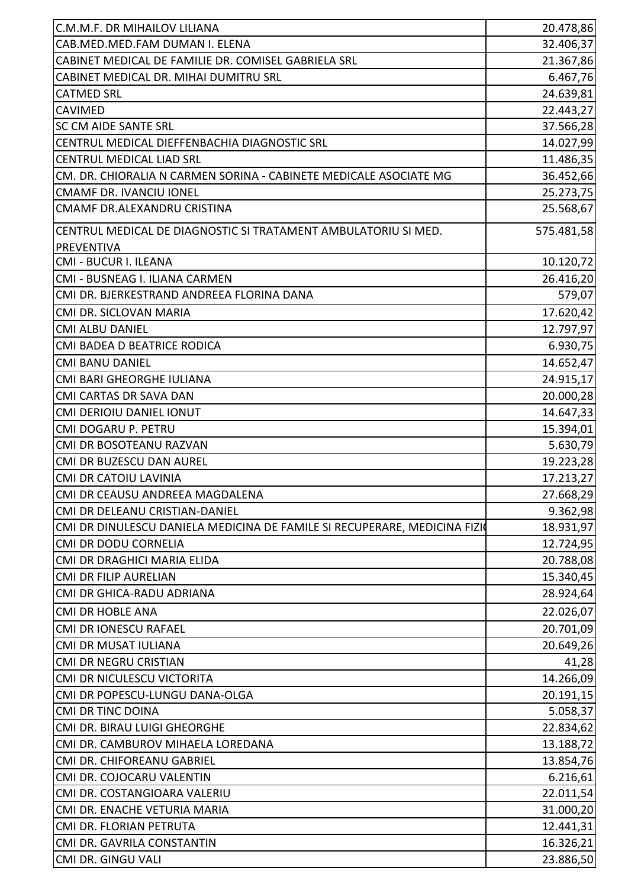| CAB.MED.MED.FAM DUMAN I. ELENA<br>32.406,37<br>CABINET MEDICAL DE FAMILIE DR. COMISEL GABRIELA SRL<br>21.367,86<br>CABINET MEDICAL DR. MIHAI DUMITRU SRL<br>6.467,76<br>24.639,81<br><b>CATMED SRL</b><br>22.443,27<br><b>CAVIMED</b><br>SC CM AIDE SANTE SRL<br>37.566,28<br>CENTRUL MEDICAL DIEFFENBACHIA DIAGNOSTIC SRL<br>14.027,99<br>CENTRUL MEDICAL LIAD SRL<br>11.486,35<br>CM. DR. CHIORALIA N CARMEN SORINA - CABINETE MEDICALE ASOCIATE MG<br>36.452,66<br>25.273,75<br><b>CMAMF DR. IVANCIU IONEL</b><br>25.568,67<br>CMAMF DR.ALEXANDRU CRISTINA<br>575.481,58<br>CENTRUL MEDICAL DE DIAGNOSTIC SI TRATAMENT AMBULATORIU SI MED.<br>PREVENTIVA<br><b>CMI - BUCUR I. ILEANA</b><br>10.120,72<br>CMI - BUSNEAG I. ILIANA CARMEN<br>26.416,20<br>579,07<br>CMI DR. BJERKESTRAND ANDREEA FLORINA DANA<br>17.620,42<br>CMI DR. SICLOVAN MARIA<br>12.797,97<br><b>CMI ALBU DANIEL</b><br>6.930,75<br>CMI BADEA D BEATRICE RODICA<br>14.652,47<br><b>CMI BANU DANIEL</b><br>CMI BARI GHEORGHE IULIANA<br>24.915,17<br>CMI CARTAS DR SAVA DAN<br>20.000,28<br>CMI DERIOIU DANIEL IONUT<br>14.647,33<br>15.394,01<br>CMI DOGARU P. PETRU<br>CMI DR BOSOTEANU RAZVAN<br>5.630,79<br>CMI DR BUZESCU DAN AUREL<br>19.223,28<br>17.213,27<br><b>CMI DR CATOIU LAVINIA</b><br>CMI DR CEAUSU ANDREEA MAGDALENA<br>CMI DR DELEANU CRISTIAN-DANIEL<br>CMI DR DINULESCU DANIELA MEDICINA DE FAMILE SI RECUPERARE, MEDICINA FIZIO<br>18.931,97<br>CMI DR DODU CORNELIA<br>12.724,95<br>CMI DR DRAGHICI MARIA ELIDA<br>20.788,08<br><b>CMI DR FILIP AURELIAN</b><br>15.340,45<br>CMI DR GHICA-RADU ADRIANA<br>28.924,64<br>22.026,07<br><b>CMI DR HOBLE ANA</b><br>20.701,09<br>CMI DR IONESCU RAFAEL<br>CMI DR MUSAT IULIANA<br>20.649,26<br>CMI DR NEGRU CRISTIAN<br>41,28<br>CMI DR NICULESCU VICTORITA<br>14.266,09<br>CMI DR POPESCU-LUNGU DANA-OLGA<br>20.191,15<br><b>CMI DR TINC DOINA</b><br>5.058,37<br>CMI DR. BIRAU LUIGI GHEORGHE<br>22.834,62<br>CMI DR. CAMBUROV MIHAELA LOREDANA<br>13.188,72<br>CMI DR. CHIFOREANU GABRIEL<br>13.854,76<br>6.216,61<br>CMI DR. COJOCARU VALENTIN<br>22.011,54<br>CMI DR. COSTANGIOARA VALERIU<br>CMI DR. ENACHE VETURIA MARIA<br>31.000,20<br>12.441,31<br>CMI DR. FLORIAN PETRUTA<br>CMI DR. GAVRILA CONSTANTIN<br>16.326,21 |                              |           |
|-------------------------------------------------------------------------------------------------------------------------------------------------------------------------------------------------------------------------------------------------------------------------------------------------------------------------------------------------------------------------------------------------------------------------------------------------------------------------------------------------------------------------------------------------------------------------------------------------------------------------------------------------------------------------------------------------------------------------------------------------------------------------------------------------------------------------------------------------------------------------------------------------------------------------------------------------------------------------------------------------------------------------------------------------------------------------------------------------------------------------------------------------------------------------------------------------------------------------------------------------------------------------------------------------------------------------------------------------------------------------------------------------------------------------------------------------------------------------------------------------------------------------------------------------------------------------------------------------------------------------------------------------------------------------------------------------------------------------------------------------------------------------------------------------------------------------------------------------------------------------------------------------------------------------------------------------------------------------------------------------------------------------------------------------------------------------------------------------------------------------------------------------------------------------------------------------------------------------------------------------------------------------|------------------------------|-----------|
| 27.668,29<br>9.362,98                                                                                                                                                                                                                                                                                                                                                                                                                                                                                                                                                                                                                                                                                                                                                                                                                                                                                                                                                                                                                                                                                                                                                                                                                                                                                                                                                                                                                                                                                                                                                                                                                                                                                                                                                                                                                                                                                                                                                                                                                                                                                                                                                                                                                                                   | C.M.M.F. DR MIHAILOV LILIANA | 20.478,86 |
|                                                                                                                                                                                                                                                                                                                                                                                                                                                                                                                                                                                                                                                                                                                                                                                                                                                                                                                                                                                                                                                                                                                                                                                                                                                                                                                                                                                                                                                                                                                                                                                                                                                                                                                                                                                                                                                                                                                                                                                                                                                                                                                                                                                                                                                                         |                              |           |
|                                                                                                                                                                                                                                                                                                                                                                                                                                                                                                                                                                                                                                                                                                                                                                                                                                                                                                                                                                                                                                                                                                                                                                                                                                                                                                                                                                                                                                                                                                                                                                                                                                                                                                                                                                                                                                                                                                                                                                                                                                                                                                                                                                                                                                                                         |                              |           |
|                                                                                                                                                                                                                                                                                                                                                                                                                                                                                                                                                                                                                                                                                                                                                                                                                                                                                                                                                                                                                                                                                                                                                                                                                                                                                                                                                                                                                                                                                                                                                                                                                                                                                                                                                                                                                                                                                                                                                                                                                                                                                                                                                                                                                                                                         |                              |           |
|                                                                                                                                                                                                                                                                                                                                                                                                                                                                                                                                                                                                                                                                                                                                                                                                                                                                                                                                                                                                                                                                                                                                                                                                                                                                                                                                                                                                                                                                                                                                                                                                                                                                                                                                                                                                                                                                                                                                                                                                                                                                                                                                                                                                                                                                         |                              |           |
|                                                                                                                                                                                                                                                                                                                                                                                                                                                                                                                                                                                                                                                                                                                                                                                                                                                                                                                                                                                                                                                                                                                                                                                                                                                                                                                                                                                                                                                                                                                                                                                                                                                                                                                                                                                                                                                                                                                                                                                                                                                                                                                                                                                                                                                                         |                              |           |
|                                                                                                                                                                                                                                                                                                                                                                                                                                                                                                                                                                                                                                                                                                                                                                                                                                                                                                                                                                                                                                                                                                                                                                                                                                                                                                                                                                                                                                                                                                                                                                                                                                                                                                                                                                                                                                                                                                                                                                                                                                                                                                                                                                                                                                                                         |                              |           |
|                                                                                                                                                                                                                                                                                                                                                                                                                                                                                                                                                                                                                                                                                                                                                                                                                                                                                                                                                                                                                                                                                                                                                                                                                                                                                                                                                                                                                                                                                                                                                                                                                                                                                                                                                                                                                                                                                                                                                                                                                                                                                                                                                                                                                                                                         |                              |           |
|                                                                                                                                                                                                                                                                                                                                                                                                                                                                                                                                                                                                                                                                                                                                                                                                                                                                                                                                                                                                                                                                                                                                                                                                                                                                                                                                                                                                                                                                                                                                                                                                                                                                                                                                                                                                                                                                                                                                                                                                                                                                                                                                                                                                                                                                         |                              |           |
|                                                                                                                                                                                                                                                                                                                                                                                                                                                                                                                                                                                                                                                                                                                                                                                                                                                                                                                                                                                                                                                                                                                                                                                                                                                                                                                                                                                                                                                                                                                                                                                                                                                                                                                                                                                                                                                                                                                                                                                                                                                                                                                                                                                                                                                                         |                              |           |
|                                                                                                                                                                                                                                                                                                                                                                                                                                                                                                                                                                                                                                                                                                                                                                                                                                                                                                                                                                                                                                                                                                                                                                                                                                                                                                                                                                                                                                                                                                                                                                                                                                                                                                                                                                                                                                                                                                                                                                                                                                                                                                                                                                                                                                                                         |                              |           |
|                                                                                                                                                                                                                                                                                                                                                                                                                                                                                                                                                                                                                                                                                                                                                                                                                                                                                                                                                                                                                                                                                                                                                                                                                                                                                                                                                                                                                                                                                                                                                                                                                                                                                                                                                                                                                                                                                                                                                                                                                                                                                                                                                                                                                                                                         |                              |           |
|                                                                                                                                                                                                                                                                                                                                                                                                                                                                                                                                                                                                                                                                                                                                                                                                                                                                                                                                                                                                                                                                                                                                                                                                                                                                                                                                                                                                                                                                                                                                                                                                                                                                                                                                                                                                                                                                                                                                                                                                                                                                                                                                                                                                                                                                         |                              |           |
|                                                                                                                                                                                                                                                                                                                                                                                                                                                                                                                                                                                                                                                                                                                                                                                                                                                                                                                                                                                                                                                                                                                                                                                                                                                                                                                                                                                                                                                                                                                                                                                                                                                                                                                                                                                                                                                                                                                                                                                                                                                                                                                                                                                                                                                                         |                              |           |
|                                                                                                                                                                                                                                                                                                                                                                                                                                                                                                                                                                                                                                                                                                                                                                                                                                                                                                                                                                                                                                                                                                                                                                                                                                                                                                                                                                                                                                                                                                                                                                                                                                                                                                                                                                                                                                                                                                                                                                                                                                                                                                                                                                                                                                                                         |                              |           |
|                                                                                                                                                                                                                                                                                                                                                                                                                                                                                                                                                                                                                                                                                                                                                                                                                                                                                                                                                                                                                                                                                                                                                                                                                                                                                                                                                                                                                                                                                                                                                                                                                                                                                                                                                                                                                                                                                                                                                                                                                                                                                                                                                                                                                                                                         |                              |           |
|                                                                                                                                                                                                                                                                                                                                                                                                                                                                                                                                                                                                                                                                                                                                                                                                                                                                                                                                                                                                                                                                                                                                                                                                                                                                                                                                                                                                                                                                                                                                                                                                                                                                                                                                                                                                                                                                                                                                                                                                                                                                                                                                                                                                                                                                         |                              |           |
|                                                                                                                                                                                                                                                                                                                                                                                                                                                                                                                                                                                                                                                                                                                                                                                                                                                                                                                                                                                                                                                                                                                                                                                                                                                                                                                                                                                                                                                                                                                                                                                                                                                                                                                                                                                                                                                                                                                                                                                                                                                                                                                                                                                                                                                                         |                              |           |
|                                                                                                                                                                                                                                                                                                                                                                                                                                                                                                                                                                                                                                                                                                                                                                                                                                                                                                                                                                                                                                                                                                                                                                                                                                                                                                                                                                                                                                                                                                                                                                                                                                                                                                                                                                                                                                                                                                                                                                                                                                                                                                                                                                                                                                                                         |                              |           |
|                                                                                                                                                                                                                                                                                                                                                                                                                                                                                                                                                                                                                                                                                                                                                                                                                                                                                                                                                                                                                                                                                                                                                                                                                                                                                                                                                                                                                                                                                                                                                                                                                                                                                                                                                                                                                                                                                                                                                                                                                                                                                                                                                                                                                                                                         |                              |           |
|                                                                                                                                                                                                                                                                                                                                                                                                                                                                                                                                                                                                                                                                                                                                                                                                                                                                                                                                                                                                                                                                                                                                                                                                                                                                                                                                                                                                                                                                                                                                                                                                                                                                                                                                                                                                                                                                                                                                                                                                                                                                                                                                                                                                                                                                         |                              |           |
|                                                                                                                                                                                                                                                                                                                                                                                                                                                                                                                                                                                                                                                                                                                                                                                                                                                                                                                                                                                                                                                                                                                                                                                                                                                                                                                                                                                                                                                                                                                                                                                                                                                                                                                                                                                                                                                                                                                                                                                                                                                                                                                                                                                                                                                                         |                              |           |
|                                                                                                                                                                                                                                                                                                                                                                                                                                                                                                                                                                                                                                                                                                                                                                                                                                                                                                                                                                                                                                                                                                                                                                                                                                                                                                                                                                                                                                                                                                                                                                                                                                                                                                                                                                                                                                                                                                                                                                                                                                                                                                                                                                                                                                                                         |                              |           |
|                                                                                                                                                                                                                                                                                                                                                                                                                                                                                                                                                                                                                                                                                                                                                                                                                                                                                                                                                                                                                                                                                                                                                                                                                                                                                                                                                                                                                                                                                                                                                                                                                                                                                                                                                                                                                                                                                                                                                                                                                                                                                                                                                                                                                                                                         |                              |           |
|                                                                                                                                                                                                                                                                                                                                                                                                                                                                                                                                                                                                                                                                                                                                                                                                                                                                                                                                                                                                                                                                                                                                                                                                                                                                                                                                                                                                                                                                                                                                                                                                                                                                                                                                                                                                                                                                                                                                                                                                                                                                                                                                                                                                                                                                         |                              |           |
|                                                                                                                                                                                                                                                                                                                                                                                                                                                                                                                                                                                                                                                                                                                                                                                                                                                                                                                                                                                                                                                                                                                                                                                                                                                                                                                                                                                                                                                                                                                                                                                                                                                                                                                                                                                                                                                                                                                                                                                                                                                                                                                                                                                                                                                                         |                              |           |
|                                                                                                                                                                                                                                                                                                                                                                                                                                                                                                                                                                                                                                                                                                                                                                                                                                                                                                                                                                                                                                                                                                                                                                                                                                                                                                                                                                                                                                                                                                                                                                                                                                                                                                                                                                                                                                                                                                                                                                                                                                                                                                                                                                                                                                                                         |                              |           |
|                                                                                                                                                                                                                                                                                                                                                                                                                                                                                                                                                                                                                                                                                                                                                                                                                                                                                                                                                                                                                                                                                                                                                                                                                                                                                                                                                                                                                                                                                                                                                                                                                                                                                                                                                                                                                                                                                                                                                                                                                                                                                                                                                                                                                                                                         |                              |           |
|                                                                                                                                                                                                                                                                                                                                                                                                                                                                                                                                                                                                                                                                                                                                                                                                                                                                                                                                                                                                                                                                                                                                                                                                                                                                                                                                                                                                                                                                                                                                                                                                                                                                                                                                                                                                                                                                                                                                                                                                                                                                                                                                                                                                                                                                         |                              |           |
|                                                                                                                                                                                                                                                                                                                                                                                                                                                                                                                                                                                                                                                                                                                                                                                                                                                                                                                                                                                                                                                                                                                                                                                                                                                                                                                                                                                                                                                                                                                                                                                                                                                                                                                                                                                                                                                                                                                                                                                                                                                                                                                                                                                                                                                                         |                              |           |
|                                                                                                                                                                                                                                                                                                                                                                                                                                                                                                                                                                                                                                                                                                                                                                                                                                                                                                                                                                                                                                                                                                                                                                                                                                                                                                                                                                                                                                                                                                                                                                                                                                                                                                                                                                                                                                                                                                                                                                                                                                                                                                                                                                                                                                                                         |                              |           |
|                                                                                                                                                                                                                                                                                                                                                                                                                                                                                                                                                                                                                                                                                                                                                                                                                                                                                                                                                                                                                                                                                                                                                                                                                                                                                                                                                                                                                                                                                                                                                                                                                                                                                                                                                                                                                                                                                                                                                                                                                                                                                                                                                                                                                                                                         |                              |           |
|                                                                                                                                                                                                                                                                                                                                                                                                                                                                                                                                                                                                                                                                                                                                                                                                                                                                                                                                                                                                                                                                                                                                                                                                                                                                                                                                                                                                                                                                                                                                                                                                                                                                                                                                                                                                                                                                                                                                                                                                                                                                                                                                                                                                                                                                         |                              |           |
|                                                                                                                                                                                                                                                                                                                                                                                                                                                                                                                                                                                                                                                                                                                                                                                                                                                                                                                                                                                                                                                                                                                                                                                                                                                                                                                                                                                                                                                                                                                                                                                                                                                                                                                                                                                                                                                                                                                                                                                                                                                                                                                                                                                                                                                                         |                              |           |
|                                                                                                                                                                                                                                                                                                                                                                                                                                                                                                                                                                                                                                                                                                                                                                                                                                                                                                                                                                                                                                                                                                                                                                                                                                                                                                                                                                                                                                                                                                                                                                                                                                                                                                                                                                                                                                                                                                                                                                                                                                                                                                                                                                                                                                                                         |                              |           |
|                                                                                                                                                                                                                                                                                                                                                                                                                                                                                                                                                                                                                                                                                                                                                                                                                                                                                                                                                                                                                                                                                                                                                                                                                                                                                                                                                                                                                                                                                                                                                                                                                                                                                                                                                                                                                                                                                                                                                                                                                                                                                                                                                                                                                                                                         |                              |           |
|                                                                                                                                                                                                                                                                                                                                                                                                                                                                                                                                                                                                                                                                                                                                                                                                                                                                                                                                                                                                                                                                                                                                                                                                                                                                                                                                                                                                                                                                                                                                                                                                                                                                                                                                                                                                                                                                                                                                                                                                                                                                                                                                                                                                                                                                         |                              |           |
|                                                                                                                                                                                                                                                                                                                                                                                                                                                                                                                                                                                                                                                                                                                                                                                                                                                                                                                                                                                                                                                                                                                                                                                                                                                                                                                                                                                                                                                                                                                                                                                                                                                                                                                                                                                                                                                                                                                                                                                                                                                                                                                                                                                                                                                                         |                              |           |
|                                                                                                                                                                                                                                                                                                                                                                                                                                                                                                                                                                                                                                                                                                                                                                                                                                                                                                                                                                                                                                                                                                                                                                                                                                                                                                                                                                                                                                                                                                                                                                                                                                                                                                                                                                                                                                                                                                                                                                                                                                                                                                                                                                                                                                                                         |                              |           |
|                                                                                                                                                                                                                                                                                                                                                                                                                                                                                                                                                                                                                                                                                                                                                                                                                                                                                                                                                                                                                                                                                                                                                                                                                                                                                                                                                                                                                                                                                                                                                                                                                                                                                                                                                                                                                                                                                                                                                                                                                                                                                                                                                                                                                                                                         |                              |           |
|                                                                                                                                                                                                                                                                                                                                                                                                                                                                                                                                                                                                                                                                                                                                                                                                                                                                                                                                                                                                                                                                                                                                                                                                                                                                                                                                                                                                                                                                                                                                                                                                                                                                                                                                                                                                                                                                                                                                                                                                                                                                                                                                                                                                                                                                         |                              |           |
|                                                                                                                                                                                                                                                                                                                                                                                                                                                                                                                                                                                                                                                                                                                                                                                                                                                                                                                                                                                                                                                                                                                                                                                                                                                                                                                                                                                                                                                                                                                                                                                                                                                                                                                                                                                                                                                                                                                                                                                                                                                                                                                                                                                                                                                                         |                              |           |
|                                                                                                                                                                                                                                                                                                                                                                                                                                                                                                                                                                                                                                                                                                                                                                                                                                                                                                                                                                                                                                                                                                                                                                                                                                                                                                                                                                                                                                                                                                                                                                                                                                                                                                                                                                                                                                                                                                                                                                                                                                                                                                                                                                                                                                                                         |                              |           |
|                                                                                                                                                                                                                                                                                                                                                                                                                                                                                                                                                                                                                                                                                                                                                                                                                                                                                                                                                                                                                                                                                                                                                                                                                                                                                                                                                                                                                                                                                                                                                                                                                                                                                                                                                                                                                                                                                                                                                                                                                                                                                                                                                                                                                                                                         |                              |           |
|                                                                                                                                                                                                                                                                                                                                                                                                                                                                                                                                                                                                                                                                                                                                                                                                                                                                                                                                                                                                                                                                                                                                                                                                                                                                                                                                                                                                                                                                                                                                                                                                                                                                                                                                                                                                                                                                                                                                                                                                                                                                                                                                                                                                                                                                         |                              |           |
|                                                                                                                                                                                                                                                                                                                                                                                                                                                                                                                                                                                                                                                                                                                                                                                                                                                                                                                                                                                                                                                                                                                                                                                                                                                                                                                                                                                                                                                                                                                                                                                                                                                                                                                                                                                                                                                                                                                                                                                                                                                                                                                                                                                                                                                                         |                              |           |
|                                                                                                                                                                                                                                                                                                                                                                                                                                                                                                                                                                                                                                                                                                                                                                                                                                                                                                                                                                                                                                                                                                                                                                                                                                                                                                                                                                                                                                                                                                                                                                                                                                                                                                                                                                                                                                                                                                                                                                                                                                                                                                                                                                                                                                                                         |                              |           |
|                                                                                                                                                                                                                                                                                                                                                                                                                                                                                                                                                                                                                                                                                                                                                                                                                                                                                                                                                                                                                                                                                                                                                                                                                                                                                                                                                                                                                                                                                                                                                                                                                                                                                                                                                                                                                                                                                                                                                                                                                                                                                                                                                                                                                                                                         |                              |           |
|                                                                                                                                                                                                                                                                                                                                                                                                                                                                                                                                                                                                                                                                                                                                                                                                                                                                                                                                                                                                                                                                                                                                                                                                                                                                                                                                                                                                                                                                                                                                                                                                                                                                                                                                                                                                                                                                                                                                                                                                                                                                                                                                                                                                                                                                         |                              |           |
|                                                                                                                                                                                                                                                                                                                                                                                                                                                                                                                                                                                                                                                                                                                                                                                                                                                                                                                                                                                                                                                                                                                                                                                                                                                                                                                                                                                                                                                                                                                                                                                                                                                                                                                                                                                                                                                                                                                                                                                                                                                                                                                                                                                                                                                                         |                              |           |
|                                                                                                                                                                                                                                                                                                                                                                                                                                                                                                                                                                                                                                                                                                                                                                                                                                                                                                                                                                                                                                                                                                                                                                                                                                                                                                                                                                                                                                                                                                                                                                                                                                                                                                                                                                                                                                                                                                                                                                                                                                                                                                                                                                                                                                                                         | CMI DR. GINGU VALI           | 23.886,50 |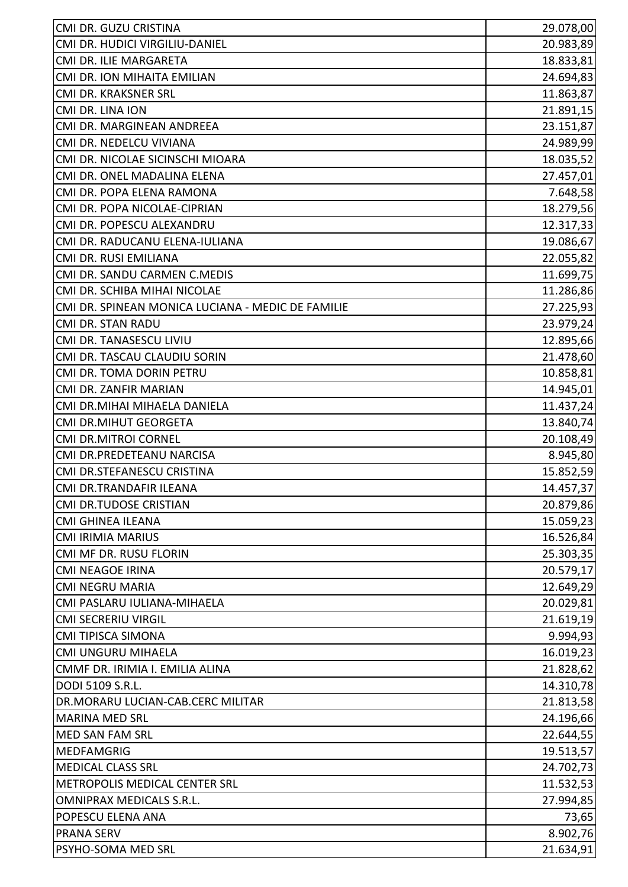| CMI DR. GUZU CRISTINA                                    | 29.078,00              |
|----------------------------------------------------------|------------------------|
| CMI DR. HUDICI VIRGILIU-DANIEL<br>CMI DR. ILIE MARGARETA | 20.983,89<br>18.833,81 |
|                                                          |                        |
| CMI DR. ION MIHAITA EMILIAN                              | 24.694,83              |
| CMI DR. KRAKSNER SRL                                     | 11.863,87              |
| CMI DR. LINA ION                                         | 21.891,15              |
| CMI DR. MARGINEAN ANDREEA                                | 23.151,87              |
| CMI DR. NEDELCU VIVIANA                                  | 24.989,99              |
| CMI DR. NICOLAE SICINSCHI MIOARA                         | 18.035,52              |
| CMI DR. ONEL MADALINA ELENA                              | 27.457,01              |
| CMI DR. POPA ELENA RAMONA                                | 7.648,58               |
| CMI DR. POPA NICOLAE-CIPRIAN                             | 18.279,56              |
| CMI DR. POPESCU ALEXANDRU                                | 12.317,33              |
| CMI DR. RADUCANU ELENA-IULIANA                           | 19.086,67              |
| CMI DR. RUSI EMILIANA                                    | 22.055,82              |
| CMI DR. SANDU CARMEN C.MEDIS                             | 11.699,75              |
| CMI DR. SCHIBA MIHAI NICOLAE                             | 11.286,86              |
| CMI DR. SPINEAN MONICA LUCIANA - MEDIC DE FAMILIE        | 27.225,93              |
| <b>CMI DR. STAN RADU</b>                                 | 23.979,24              |
| CMI DR. TANASESCU LIVIU                                  | 12.895,66              |
| CMI DR. TASCAU CLAUDIU SORIN                             | 21.478,60              |
| CMI DR. TOMA DORIN PETRU                                 | 10.858,81              |
| CMI DR. ZANFIR MARIAN                                    | 14.945,01              |
| CMI DR.MIHAI MIHAELA DANIELA                             | 11.437,24              |
| CMI DR.MIHUT GEORGETA                                    | 13.840,74              |
| <b>CMI DR.MITROI CORNEL</b>                              | 20.108,49              |
| CMI DR.PREDETEANU NARCISA                                | 8.945,80               |
| CMI DR.STEFANESCU CRISTINA                               | 15.852,59              |
| CMI DR.TRANDAFIR ILEANA                                  | 14.457,37              |
| <b>CMI DR.TUDOSE CRISTIAN</b>                            | 20.879,86              |
| <b>CMI GHINEA ILEANA</b>                                 | 15.059,23              |
| <b>CMI IRIMIA MARIUS</b>                                 | 16.526,84              |
| CMI MF DR. RUSU FLORIN                                   | 25.303,35              |
| <b>CMI NEAGOE IRINA</b>                                  | 20.579,17              |
| <b>CMI NEGRU MARIA</b>                                   | 12.649,29              |
| CMI PASLARU IULIANA-MIHAELA                              | 20.029,81              |
| <b>CMI SECRERIU VIRGIL</b>                               | 21.619,19              |
| <b>CMI TIPISCA SIMONA</b>                                | 9.994,93               |
| <b>CMI UNGURU MIHAELA</b>                                | 16.019,23              |
| CMMF DR. IRIMIA I. EMILIA ALINA                          | 21.828,62              |
| DODI 5109 S.R.L.                                         | 14.310,78              |
| DR.MORARU LUCIAN-CAB.CERC MILITAR                        | 21.813,58              |
| <b>MARINA MED SRL</b>                                    | 24.196,66              |
| MED SAN FAM SRL                                          | 22.644,55              |
| <b>MEDFAMGRIG</b>                                        | 19.513,57              |
| <b>MEDICAL CLASS SRL</b>                                 | 24.702,73              |
| METROPOLIS MEDICAL CENTER SRL                            | 11.532,53              |
| <b>OMNIPRAX MEDICALS S.R.L.</b>                          | 27.994,85              |
| POPESCU ELENA ANA                                        | 73,65                  |
| <b>PRANA SERV</b>                                        | 8.902,76               |
| PSYHO-SOMA MED SRL                                       | 21.634,91              |
|                                                          |                        |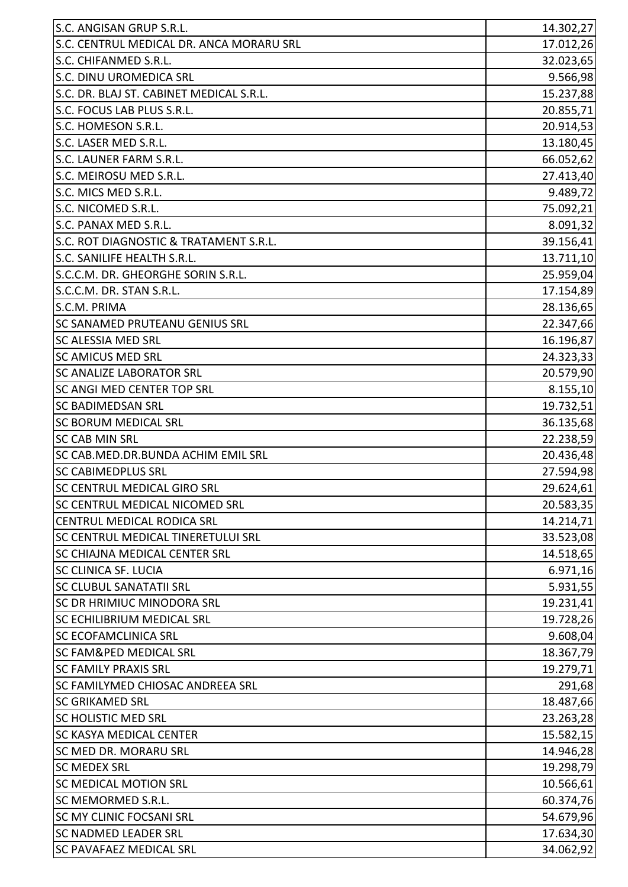| S.C. ANGISAN GRUP S.R.L.                 | 14.302,27 |
|------------------------------------------|-----------|
| S.C. CENTRUL MEDICAL DR. ANCA MORARU SRL | 17.012,26 |
| S.C. CHIFANMED S.R.L.                    | 32.023,65 |
| S.C. DINU UROMEDICA SRL                  | 9.566,98  |
| S.C. DR. BLAJ ST. CABINET MEDICAL S.R.L. | 15.237,88 |
| S.C. FOCUS LAB PLUS S.R.L.               | 20.855,71 |
| S.C. HOMESON S.R.L.                      | 20.914,53 |
| S.C. LASER MED S.R.L.                    | 13.180,45 |
| S.C. LAUNER FARM S.R.L.                  | 66.052,62 |
| S.C. MEIROSU MED S.R.L.                  | 27.413,40 |
| S.C. MICS MED S.R.L.                     | 9.489,72  |
| S.C. NICOMED S.R.L.                      | 75.092,21 |
| S.C. PANAX MED S.R.L.                    | 8.091,32  |
| S.C. ROT DIAGNOSTIC & TRATAMENT S.R.L.   | 39.156,41 |
| S.C. SANILIFE HEALTH S.R.L.              | 13.711,10 |
| S.C.C.M. DR. GHEORGHE SORIN S.R.L.       | 25.959,04 |
| S.C.C.M. DR. STAN S.R.L.                 | 17.154,89 |
| S.C.M. PRIMA                             | 28.136,65 |
| <b>SC SANAMED PRUTEANU GENIUS SRL</b>    | 22.347,66 |
| <b>SC ALESSIA MED SRL</b>                | 16.196,87 |
| <b>SC AMICUS MED SRL</b>                 | 24.323,33 |
| <b>SC ANALIZE LABORATOR SRL</b>          | 20.579,90 |
| <b>SC ANGI MED CENTER TOP SRL</b>        | 8.155,10  |
| <b>SC BADIMEDSAN SRL</b>                 | 19.732,51 |
| <b>SC BORUM MEDICAL SRL</b>              | 36.135,68 |
| <b>SC CAB MIN SRL</b>                    | 22.238,59 |
| SC CAB.MED.DR.BUNDA ACHIM EMIL SRL       | 20.436,48 |
| <b>SC CABIMEDPLUS SRL</b>                | 27.594,98 |
| <b>SC CENTRUL MEDICAL GIRO SRL</b>       | 29.624,61 |
| SC CENTRUL MEDICAL NICOMED SRL           | 20.583,35 |
| CENTRUL MEDICAL RODICA SRL               | 14.214,71 |
| SC CENTRUL MEDICAL TINERETULUI SRL       | 33.523,08 |
| <b>SC CHIAJNA MEDICAL CENTER SRL</b>     | 14.518,65 |
| <b>SC CLINICA SF. LUCIA</b>              | 6.971,16  |
| SC CLUBUL SANATATII SRL                  | 5.931,55  |
| <b>SC DR HRIMIUC MINODORA SRL</b>        | 19.231,41 |
| <b>SC ECHILIBRIUM MEDICAL SRL</b>        | 19.728,26 |
| <b>SC ECOFAMCLINICA SRL</b>              | 9.608,04  |
| <b>SC FAM&amp;PED MEDICAL SRL</b>        | 18.367,79 |
| <b>SC FAMILY PRAXIS SRL</b>              | 19.279,71 |
| <b>SC FAMILYMED CHIOSAC ANDREEA SRL</b>  | 291,68    |
| <b>SC GRIKAMED SRL</b>                   | 18.487,66 |
| <b>SC HOLISTIC MED SRL</b>               | 23.263,28 |
| <b>SC KASYA MEDICAL CENTER</b>           | 15.582,15 |
| SC MED DR. MORARU SRL                    | 14.946,28 |
| <b>SC MEDEX SRL</b>                      | 19.298,79 |
| <b>SC MEDICAL MOTION SRL</b>             | 10.566,61 |
| SC MEMORMED S.R.L.                       | 60.374,76 |
| <b>SC MY CLINIC FOCSANI SRL</b>          | 54.679,96 |
| <b>SC NADMED LEADER SRL</b>              | 17.634,30 |
| <b>SC PAVAFAEZ MEDICAL SRL</b>           | 34.062,92 |